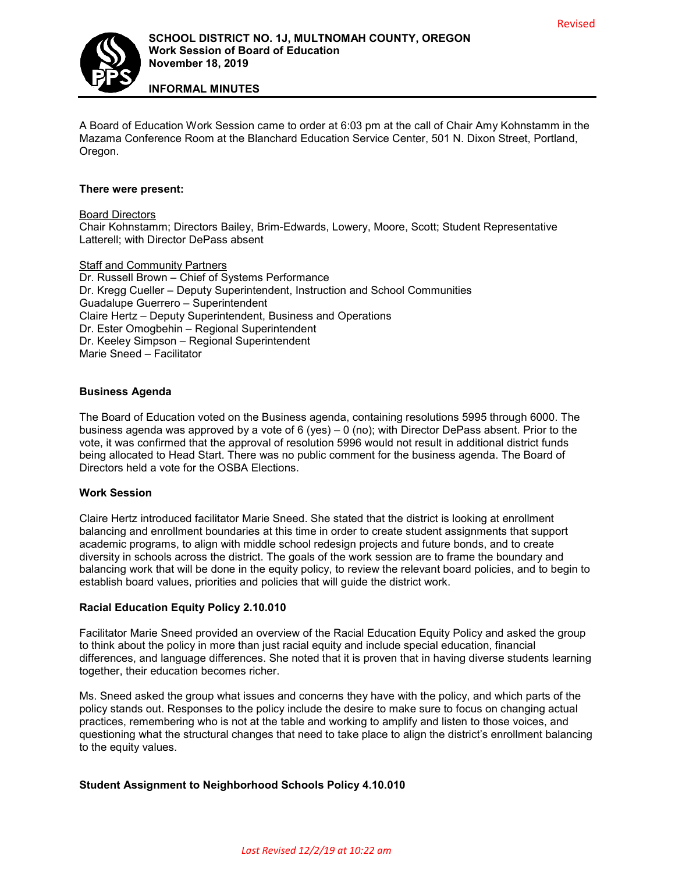

**INFORMAL MINUTES**

A Board of Education Work Session came to order at 6:03 pm at the call of Chair Amy Kohnstamm in the Mazama Conference Room at the Blanchard Education Service Center, 501 N. Dixon Street, Portland, Oregon.

## **There were present:**

## Board Directors

Chair Kohnstamm; Directors Bailey, Brim-Edwards, Lowery, Moore, Scott; Student Representative Latterell; with Director DePass absent

#### Staff and Community Partners

Dr. Russell Brown – Chief of Systems Performance Dr. Kregg Cueller – Deputy Superintendent, Instruction and School Communities Guadalupe Guerrero – Superintendent Claire Hertz – Deputy Superintendent, Business and Operations Dr. Ester Omogbehin – Regional Superintendent Dr. Keeley Simpson – Regional Superintendent Marie Sneed – Facilitator

## **Business Agenda**

The Board of Education voted on the Business agenda, containing resolutions 5995 through 6000. The business agenda was approved by a vote of 6 (yes) – 0 (no); with Director DePass absent. Prior to the vote, it was confirmed that the approval of resolution 5996 would not result in additional district funds being allocated to Head Start. There was no public comment for the business agenda. The Board of Directors held a vote for the OSBA Elections.

## **Work Session**

Claire Hertz introduced facilitator Marie Sneed. She stated that the district is looking at enrollment balancing and enrollment boundaries at this time in order to create student assignments that support academic programs, to align with middle school redesign projects and future bonds, and to create diversity in schools across the district. The goals of the work session are to frame the boundary and balancing work that will be done in the equity policy, to review the relevant board policies, and to begin to establish board values, priorities and policies that will guide the district work.

## **Racial Education Equity Policy 2.10.010**

Facilitator Marie Sneed provided an overview of the Racial Education Equity Policy and asked the group to think about the policy in more than just racial equity and include special education, financial differences, and language differences. She noted that it is proven that in having diverse students learning together, their education becomes richer.

Ms. Sneed asked the group what issues and concerns they have with the policy, and which parts of the policy stands out. Responses to the policy include the desire to make sure to focus on changing actual practices, remembering who is not at the table and working to amplify and listen to those voices, and questioning what the structural changes that need to take place to align the district's enrollment balancing to the equity values.

# **Student Assignment to Neighborhood Schools Policy 4.10.010**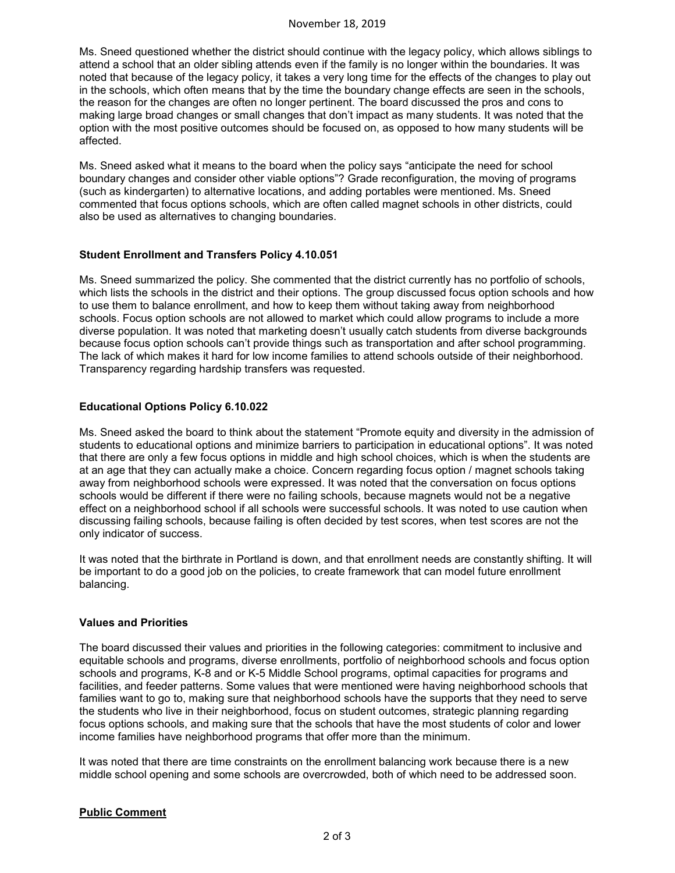#### November 18, 2019

Ms. Sneed questioned whether the district should continue with the legacy policy, which allows siblings to attend a school that an older sibling attends even if the family is no longer within the boundaries. It was noted that because of the legacy policy, it takes a very long time for the effects of the changes to play out in the schools, which often means that by the time the boundary change effects are seen in the schools, the reason for the changes are often no longer pertinent. The board discussed the pros and cons to making large broad changes or small changes that don't impact as many students. It was noted that the option with the most positive outcomes should be focused on, as opposed to how many students will be affected.

Ms. Sneed asked what it means to the board when the policy says "anticipate the need for school boundary changes and consider other viable options"? Grade reconfiguration, the moving of programs (such as kindergarten) to alternative locations, and adding portables were mentioned. Ms. Sneed commented that focus options schools, which are often called magnet schools in other districts, could also be used as alternatives to changing boundaries.

## **Student Enrollment and Transfers Policy 4.10.051**

Ms. Sneed summarized the policy. She commented that the district currently has no portfolio of schools, which lists the schools in the district and their options. The group discussed focus option schools and how to use them to balance enrollment, and how to keep them without taking away from neighborhood schools. Focus option schools are not allowed to market which could allow programs to include a more diverse population. It was noted that marketing doesn't usually catch students from diverse backgrounds because focus option schools can't provide things such as transportation and after school programming. The lack of which makes it hard for low income families to attend schools outside of their neighborhood. Transparency regarding hardship transfers was requested.

## **Educational Options Policy 6.10.022**

Ms. Sneed asked the board to think about the statement "Promote equity and diversity in the admission of students to educational options and minimize barriers to participation in educational options". It was noted that there are only a few focus options in middle and high school choices, which is when the students are at an age that they can actually make a choice. Concern regarding focus option / magnet schools taking away from neighborhood schools were expressed. It was noted that the conversation on focus options schools would be different if there were no failing schools, because magnets would not be a negative effect on a neighborhood school if all schools were successful schools. It was noted to use caution when discussing failing schools, because failing is often decided by test scores, when test scores are not the only indicator of success.

It was noted that the birthrate in Portland is down, and that enrollment needs are constantly shifting. It will be important to do a good job on the policies, to create framework that can model future enrollment balancing.

## **Values and Priorities**

The board discussed their values and priorities in the following categories: commitment to inclusive and equitable schools and programs, diverse enrollments, portfolio of neighborhood schools and focus option schools and programs, K-8 and or K-5 Middle School programs, optimal capacities for programs and facilities, and feeder patterns. Some values that were mentioned were having neighborhood schools that families want to go to, making sure that neighborhood schools have the supports that they need to serve the students who live in their neighborhood, focus on student outcomes, strategic planning regarding focus options schools, and making sure that the schools that have the most students of color and lower income families have neighborhood programs that offer more than the minimum.

It was noted that there are time constraints on the enrollment balancing work because there is a new middle school opening and some schools are overcrowded, both of which need to be addressed soon.

# **Public Comment**